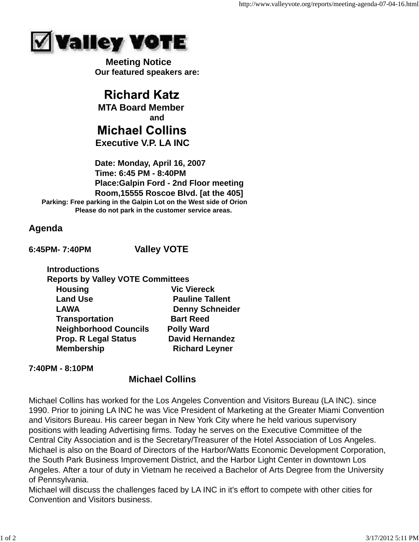

 **Meeting Notice Our featured speakers are:**

**Richard Katz MTA Board Member and Michael Collins Executive V.P. LA INC**

 **Date: Monday, April 16, 2007 Time: 6:45 PM - 8:40PM Place:Galpin Ford - 2nd Floor meeting Room,15555 Roscoe Blvd. [at the 405] Parking: Free parking in the Galpin Lot on the West side of Orion Please do not park in the customer service areas.**

## **Agenda**

**6:45PM- 7:40PM Valley VOTE**

| <b>Introductions</b>                     |                        |
|------------------------------------------|------------------------|
| <b>Reports by Valley VOTE Committees</b> |                        |
| <b>Housing</b>                           | <b>Vic Viereck</b>     |
| <b>Land Use</b>                          | <b>Pauline Tallent</b> |
| <b>LAWA</b>                              | <b>Denny Schneider</b> |
| <b>Transportation</b>                    | <b>Bart Reed</b>       |
| <b>Neighborhood Councils</b>             | <b>Polly Ward</b>      |
| <b>Prop. R Legal Status</b>              | <b>David Hernandez</b> |
| <b>Membership</b>                        | <b>Richard Leyner</b>  |
|                                          |                        |

## **7:40PM - 8:10PM**

# **Michael Collins**

Michael Collins has worked for the Los Angeles Convention and Visitors Bureau (LA INC). since 1990. Prior to joining LA INC he was Vice President of Marketing at the Greater Miami Convention and Visitors Bureau. His career began in New York City where he held various supervisory positions with leading Advertising firms. Today he serves on the Executive Committee of the Central City Association and is the Secretary/Treasurer of the Hotel Association of Los Angeles. Michael is also on the Board of Directors of the Harbor/Watts Economic Development Corporation, the South Park Business Improvement District, and the Harbor Light Center in downtown Los Angeles. After a tour of duty in Vietnam he received a Bachelor of Arts Degree from the University of Pennsylvania.

Michael will discuss the challenges faced by LA INC in it's effort to compete with other cities for Convention and Visitors business.